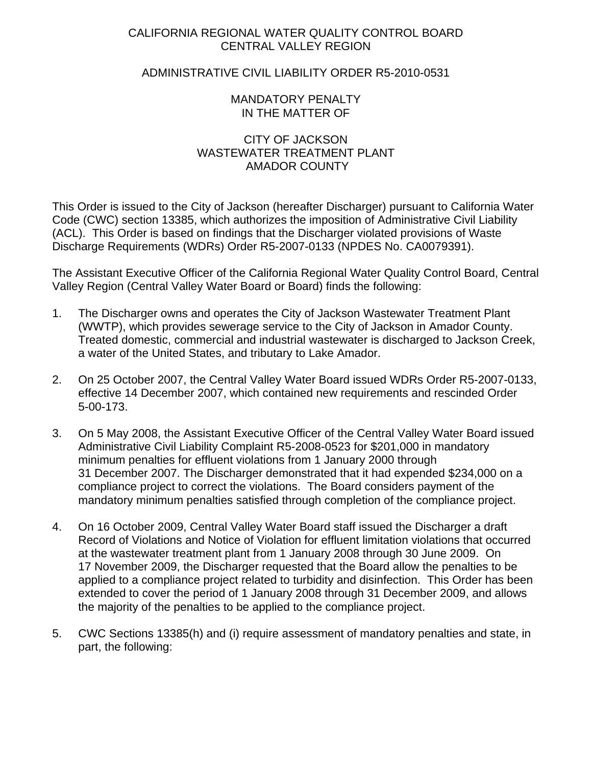## CALIFORNIA REGIONAL WATER QUALITY CONTROL BOARD CENTRAL VALLEY REGION

## ADMINISTRATIVE CIVIL LIABILITY ORDER R5-2010-0531

#### MANDATORY PENALTY IN THE MATTER OF

## CITY OF JACKSON WASTEWATER TREATMENT PLANT AMADOR COUNTY

This Order is issued to the City of Jackson (hereafter Discharger) pursuant to California Water Code (CWC) section 13385, which authorizes the imposition of Administrative Civil Liability (ACL). This Order is based on findings that the Discharger violated provisions of Waste Discharge Requirements (WDRs) Order R5-2007-0133 (NPDES No. CA0079391).

The Assistant Executive Officer of the California Regional Water Quality Control Board, Central Valley Region (Central Valley Water Board or Board) finds the following:

- 1. The Discharger owns and operates the City of Jackson Wastewater Treatment Plant (WWTP), which provides sewerage service to the City of Jackson in Amador County. Treated domestic, commercial and industrial wastewater is discharged to Jackson Creek, a water of the United States, and tributary to Lake Amador.
- 2. On 25 October 2007, the Central Valley Water Board issued WDRs Order R5-2007-0133, effective 14 December 2007, which contained new requirements and rescinded Order 5-00-173.
- 3. On 5 May 2008, the Assistant Executive Officer of the Central Valley Water Board issued Administrative Civil Liability Complaint R5-2008-0523 for \$201,000 in mandatory minimum penalties for effluent violations from 1 January 2000 through 31 December 2007. The Discharger demonstrated that it had expended \$234,000 on a compliance project to correct the violations. The Board considers payment of the mandatory minimum penalties satisfied through completion of the compliance project.
- 4. On 16 October 2009, Central Valley Water Board staff issued the Discharger a draft Record of Violations and Notice of Violation for effluent limitation violations that occurred at the wastewater treatment plant from 1 January 2008 through 30 June 2009. On 17 November 2009, the Discharger requested that the Board allow the penalties to be applied to a compliance project related to turbidity and disinfection. This Order has been extended to cover the period of 1 January 2008 through 31 December 2009, and allows the majority of the penalties to be applied to the compliance project.
- 5. CWC Sections 13385(h) and (i) require assessment of mandatory penalties and state, in part, the following: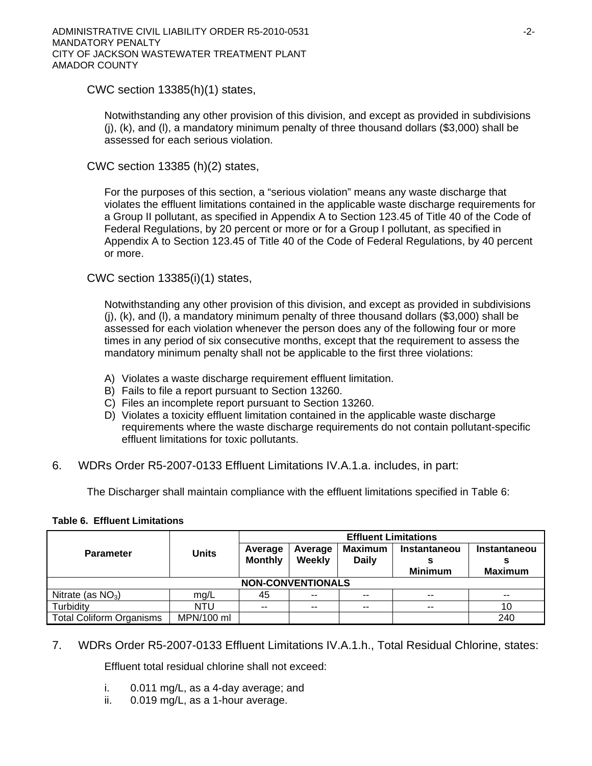CWC section 13385(h)(1) states,

Notwithstanding any other provision of this division, and except as provided in subdivisions (j), (k), and (l), a mandatory minimum penalty of three thousand dollars (\$3,000) shall be assessed for each serious violation.

CWC section 13385 (h)(2) states,

For the purposes of this section, a "serious violation" means any waste discharge that violates the effluent limitations contained in the applicable waste discharge requirements for a Group II pollutant, as specified in Appendix A to Section 123.45 of Title 40 of the Code of Federal Regulations, by 20 percent or more or for a Group I pollutant, as specified in Appendix A to Section 123.45 of Title 40 of the Code of Federal Regulations, by 40 percent or more.

CWC section 13385(i)(1) states,

Notwithstanding any other provision of this division, and except as provided in subdivisions (j), (k), and (l), a mandatory minimum penalty of three thousand dollars (\$3,000) shall be assessed for each violation whenever the person does any of the following four or more times in any period of six consecutive months, except that the requirement to assess the mandatory minimum penalty shall not be applicable to the first three violations:

- A) Violates a waste discharge requirement effluent limitation.
- B) Fails to file a report pursuant to Section 13260.
- C) Files an incomplete report pursuant to Section 13260.
- D) Violates a toxicity effluent limitation contained in the applicable waste discharge requirements where the waste discharge requirements do not contain pollutant-specific effluent limitations for toxic pollutants.
- 6. WDRs Order R5-2007-0133 Effluent Limitations IV.A.1.a. includes, in part:

The Discharger shall maintain compliance with the effluent limitations specified in Table 6:

|                                 |              | <b>Effluent Limitations</b> |         |                |                |                |  |
|---------------------------------|--------------|-----------------------------|---------|----------------|----------------|----------------|--|
| <b>Parameter</b>                | <b>Units</b> | Average                     | Average | <b>Maximum</b> | Instantaneou   | Instantaneou   |  |
|                                 |              | <b>Monthly</b>              | Weekly  | <b>Daily</b>   | <b>Minimum</b> | <b>Maximum</b> |  |
| <b>NON-CONVENTIONALS</b>        |              |                             |         |                |                |                |  |
| Nitrate (as $NO_3$ )            | mg/L         | 45                          | $- -$   | --             | $-$            | --             |  |
| Turbidity                       | NTU          | $-$                         | --      | $- -$          | $\sim$         | 10             |  |
| <b>Total Coliform Organisms</b> | MPN/100 ml   |                             |         |                |                | 240            |  |

#### **Table 6. Effluent Limitations**

7. WDRs Order R5-2007-0133 Effluent Limitations IV.A.1.h., Total Residual Chlorine, states:

Effluent total residual chlorine shall not exceed:

- i. 0.011 mg/L, as a 4-day average; and
- ii. 0.019 mg/L, as a 1-hour average.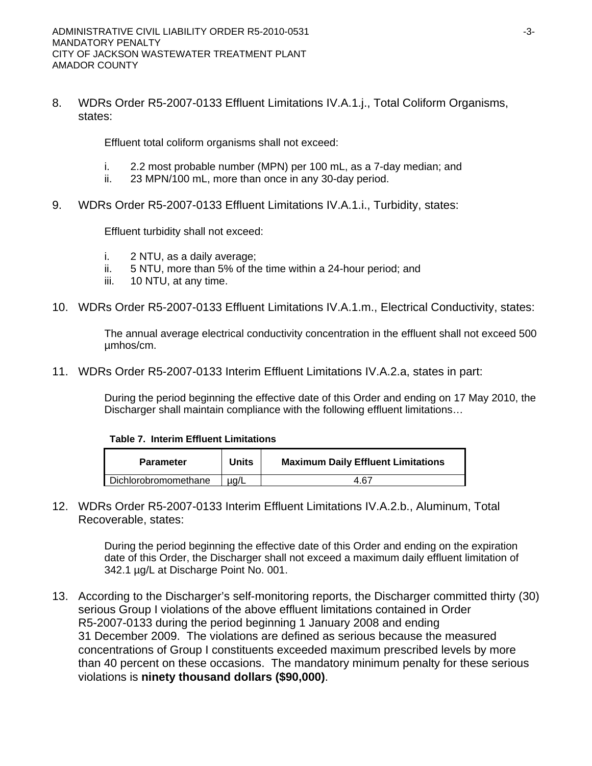8. WDRs Order R5-2007-0133 Effluent Limitations IV.A.1.j., Total Coliform Organisms, states:

Effluent total coliform organisms shall not exceed:

- i. 2.2 most probable number (MPN) per 100 mL, as a 7-day median; and
- ii. 23 MPN/100 mL, more than once in any 30-day period.
- 9. WDRs Order R5-2007-0133 Effluent Limitations IV.A.1.i., Turbidity, states:

Effluent turbidity shall not exceed:

- i. 2 NTU, as a daily average;
- ii. 5 NTU, more than 5% of the time within a 24-hour period; and
- iii. 10 NTU, at any time.
- 10. WDRs Order R5-2007-0133 Effluent Limitations IV.A.1.m., Electrical Conductivity, states:

The annual average electrical conductivity concentration in the effluent shall not exceed 500 µmhos/cm.

11. WDRs Order R5-2007-0133 Interim Effluent Limitations IV.A.2.a, states in part:

During the period beginning the effective date of this Order and ending on 17 May 2010, the Discharger shall maintain compliance with the following effluent limitations…

**Table 7. Interim Effluent Limitations** 

| <b>Parameter</b>     | Units     | <b>Maximum Daily Effluent Limitations</b> |
|----------------------|-----------|-------------------------------------------|
| Dichlorobromomethane | $\mu$ a/L | 4.67                                      |

12. WDRs Order R5-2007-0133 Interim Effluent Limitations IV.A.2.b., Aluminum, Total Recoverable, states:

> During the period beginning the effective date of this Order and ending on the expiration date of this Order, the Discharger shall not exceed a maximum daily effluent limitation of 342.1 µg/L at Discharge Point No. 001.

13. According to the Discharger's self-monitoring reports, the Discharger committed thirty (30) serious Group I violations of the above effluent limitations contained in Order R5-2007-0133 during the period beginning 1 January 2008 and ending 31 December 2009. The violations are defined as serious because the measured concentrations of Group I constituents exceeded maximum prescribed levels by more than 40 percent on these occasions. The mandatory minimum penalty for these serious violations is **ninety thousand dollars (\$90,000)**.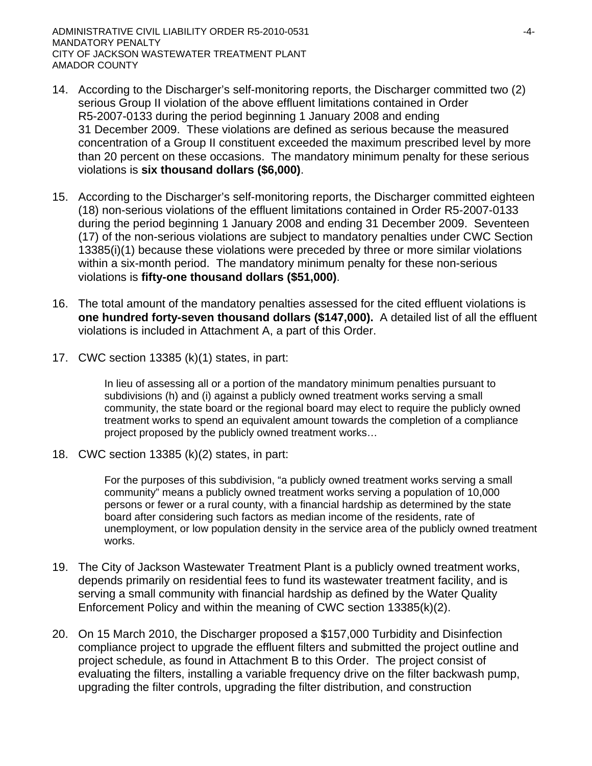- 14. According to the Discharger's self-monitoring reports, the Discharger committed two (2) serious Group II violation of the above effluent limitations contained in Order R5-2007-0133 during the period beginning 1 January 2008 and ending 31 December 2009. These violations are defined as serious because the measured concentration of a Group II constituent exceeded the maximum prescribed level by more than 20 percent on these occasions. The mandatory minimum penalty for these serious violations is **six thousand dollars (\$6,000)**.
- 15. According to the Discharger's self-monitoring reports, the Discharger committed eighteen (18) non-serious violations of the effluent limitations contained in Order R5-2007-0133 during the period beginning 1 January 2008 and ending 31 December 2009. Seventeen (17) of the non-serious violations are subject to mandatory penalties under CWC Section 13385(i)(1) because these violations were preceded by three or more similar violations within a six-month period. The mandatory minimum penalty for these non-serious violations is **fifty-one thousand dollars (\$51,000)**.
- 16. The total amount of the mandatory penalties assessed for the cited effluent violations is **one hundred forty-seven thousand dollars (\$147,000).** A detailed list of all the effluent violations is included in Attachment A, a part of this Order.
- 17. CWC section 13385 (k)(1) states, in part:

In lieu of assessing all or a portion of the mandatory minimum penalties pursuant to subdivisions (h) and (i) against a publicly owned treatment works serving a small community, the state board or the regional board may elect to require the publicly owned treatment works to spend an equivalent amount towards the completion of a compliance project proposed by the publicly owned treatment works…

18. CWC section 13385 (k)(2) states, in part:

For the purposes of this subdivision, "a publicly owned treatment works serving a small community" means a publicly owned treatment works serving a population of 10,000 persons or fewer or a rural county, with a financial hardship as determined by the state board after considering such factors as median income of the residents, rate of unemployment, or low population density in the service area of the publicly owned treatment works.

- 19. The City of Jackson Wastewater Treatment Plant is a publicly owned treatment works, depends primarily on residential fees to fund its wastewater treatment facility, and is serving a small community with financial hardship as defined by the Water Quality Enforcement Policy and within the meaning of CWC section 13385(k)(2).
- 20. On 15 March 2010, the Discharger proposed a \$157,000 Turbidity and Disinfection compliance project to upgrade the effluent filters and submitted the project outline and project schedule, as found in Attachment B to this Order. The project consist of evaluating the filters, installing a variable frequency drive on the filter backwash pump, upgrading the filter controls, upgrading the filter distribution, and construction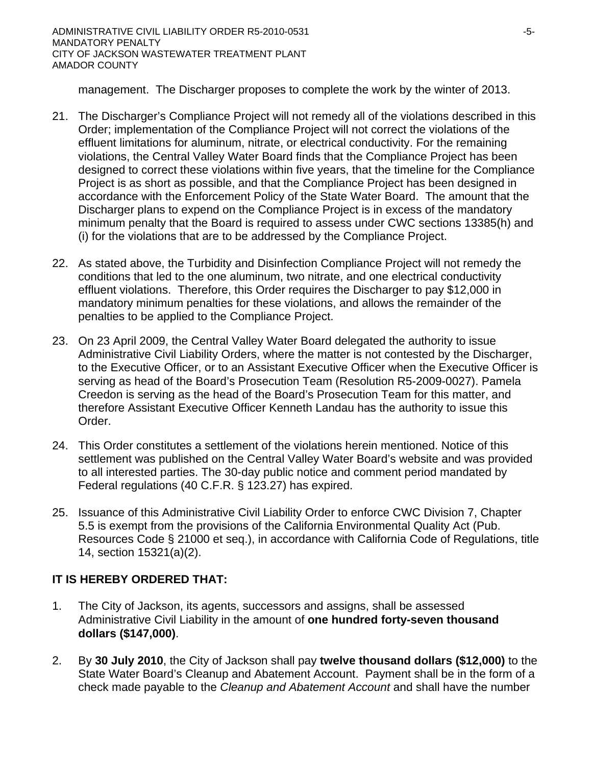management. The Discharger proposes to complete the work by the winter of 2013.

- 21. The Discharger's Compliance Project will not remedy all of the violations described in this Order; implementation of the Compliance Project will not correct the violations of the effluent limitations for aluminum, nitrate, or electrical conductivity. For the remaining violations, the Central Valley Water Board finds that the Compliance Project has been designed to correct these violations within five years, that the timeline for the Compliance Project is as short as possible, and that the Compliance Project has been designed in accordance with the Enforcement Policy of the State Water Board. The amount that the Discharger plans to expend on the Compliance Project is in excess of the mandatory minimum penalty that the Board is required to assess under CWC sections 13385(h) and (i) for the violations that are to be addressed by the Compliance Project.
- 22. As stated above, the Turbidity and Disinfection Compliance Project will not remedy the conditions that led to the one aluminum, two nitrate, and one electrical conductivity effluent violations. Therefore, this Order requires the Discharger to pay \$12,000 in mandatory minimum penalties for these violations, and allows the remainder of the penalties to be applied to the Compliance Project.
- 23. On 23 April 2009, the Central Valley Water Board delegated the authority to issue Administrative Civil Liability Orders, where the matter is not contested by the Discharger, to the Executive Officer, or to an Assistant Executive Officer when the Executive Officer is serving as head of the Board's Prosecution Team (Resolution R5-2009-0027). Pamela Creedon is serving as the head of the Board's Prosecution Team for this matter, and therefore Assistant Executive Officer Kenneth Landau has the authority to issue this Order.
- 24. This Order constitutes a settlement of the violations herein mentioned. Notice of this settlement was published on the Central Valley Water Board's website and was provided to all interested parties. The 30-day public notice and comment period mandated by Federal regulations (40 C.F.R. § 123.27) has expired.
- 25. Issuance of this Administrative Civil Liability Order to enforce CWC Division 7, Chapter 5.5 is exempt from the provisions of the California Environmental Quality Act (Pub. Resources Code § 21000 et seq.), in accordance with California Code of Regulations, title 14, section 15321(a)(2).

# **IT IS HEREBY ORDERED THAT:**

- 1. The City of Jackson, its agents, successors and assigns, shall be assessed Administrative Civil Liability in the amount of **one hundred forty-seven thousand dollars (\$147,000)**.
- 2. By **30 July 2010**, the City of Jackson shall pay **twelve thousand dollars (\$12,000)** to the State Water Board's Cleanup and Abatement Account. Payment shall be in the form of a check made payable to the *Cleanup and Abatement Account* and shall have the number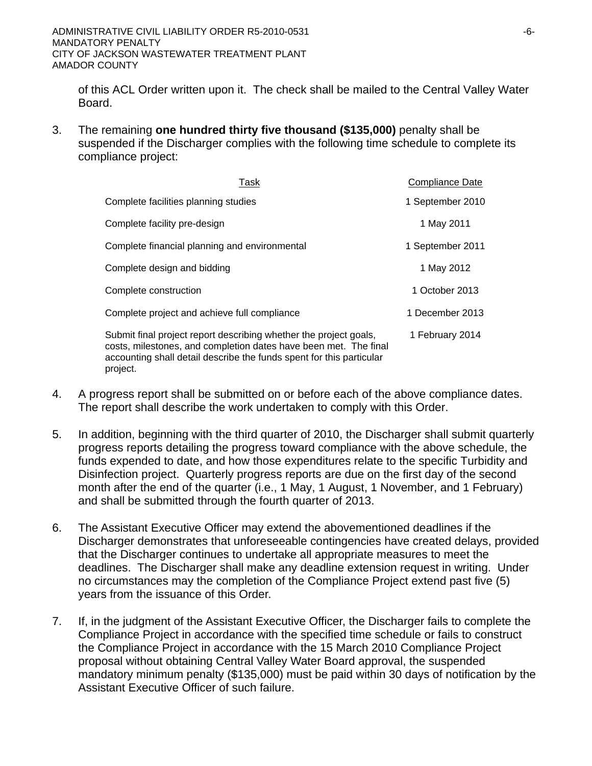project.

of this ACL Order written upon it. The check shall be mailed to the Central Valley Water Board.

3. The remaining **one hundred thirty five thousand (\$135,000)** penalty shall be suspended if the Discharger complies with the following time schedule to complete its compliance project:

| Task                                                                                                                                                                                                          | Compliance Date  |
|---------------------------------------------------------------------------------------------------------------------------------------------------------------------------------------------------------------|------------------|
| Complete facilities planning studies                                                                                                                                                                          | 1 September 2010 |
| Complete facility pre-design                                                                                                                                                                                  | 1 May 2011       |
| Complete financial planning and environmental                                                                                                                                                                 | 1 September 2011 |
| Complete design and bidding                                                                                                                                                                                   | 1 May 2012       |
| Complete construction                                                                                                                                                                                         | 1 October 2013   |
| Complete project and achieve full compliance                                                                                                                                                                  | 1 December 2013  |
| Submit final project report describing whether the project goals,<br>costs, milestones, and completion dates have been met. The final<br>accounting shall detail describe the funds spent for this particular | 1 February 2014  |

4. A progress report shall be submitted on or before each of the above compliance dates. The report shall describe the work undertaken to comply with this Order.

- 5. In addition, beginning with the third quarter of 2010, the Discharger shall submit quarterly progress reports detailing the progress toward compliance with the above schedule, the funds expended to date, and how those expenditures relate to the specific Turbidity and Disinfection project. Quarterly progress reports are due on the first day of the second month after the end of the quarter (i.e., 1 May, 1 August, 1 November, and 1 February) and shall be submitted through the fourth quarter of 2013.
- 6. The Assistant Executive Officer may extend the abovementioned deadlines if the Discharger demonstrates that unforeseeable contingencies have created delays, provided that the Discharger continues to undertake all appropriate measures to meet the deadlines. The Discharger shall make any deadline extension request in writing. Under no circumstances may the completion of the Compliance Project extend past five (5) years from the issuance of this Order.
- 7. If, in the judgment of the Assistant Executive Officer, the Discharger fails to complete the Compliance Project in accordance with the specified time schedule or fails to construct the Compliance Project in accordance with the 15 March 2010 Compliance Project proposal without obtaining Central Valley Water Board approval, the suspended mandatory minimum penalty (\$135,000) must be paid within 30 days of notification by the Assistant Executive Officer of such failure.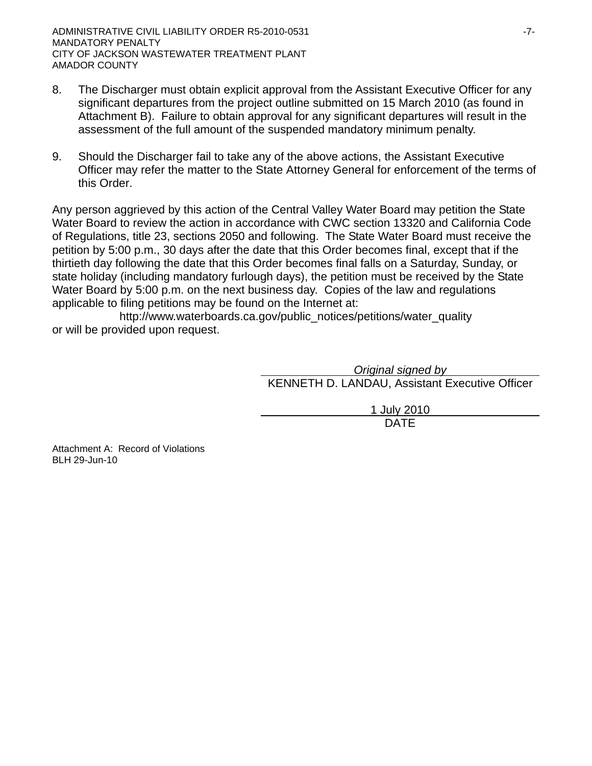- 8. The Discharger must obtain explicit approval from the Assistant Executive Officer for any significant departures from the project outline submitted on 15 March 2010 (as found in Attachment B). Failure to obtain approval for any significant departures will result in the assessment of the full amount of the suspended mandatory minimum penalty.
- 9. Should the Discharger fail to take any of the above actions, the Assistant Executive Officer may refer the matter to the State Attorney General for enforcement of the terms of this Order.

Any person aggrieved by this action of the Central Valley Water Board may petition the State Water Board to review the action in accordance with CWC section 13320 and California Code of Regulations, title 23, sections 2050 and following. The State Water Board must receive the petition by 5:00 p.m., 30 days after the date that this Order becomes final, except that if the thirtieth day following the date that this Order becomes final falls on a Saturday, Sunday, or state holiday (including mandatory furlough days), the petition must be received by the State Water Board by 5:00 p.m. on the next business day. Copies of the law and regulations applicable to filing petitions may be found on the Internet at:

http://www.waterboards.ca.gov/public\_notices/petitions/water\_quality or will be provided upon request.

> *Original signed by*  KENNETH D. LANDAU, Assistant Executive Officer

1 July 2010 design and the contract of the contract of the DATE of the contract of the contract of the contract of the contract of the contract of the contract of the contract of the contract of the contract of the contract of the con

Attachment A: Record of Violations BLH 29-Jun-10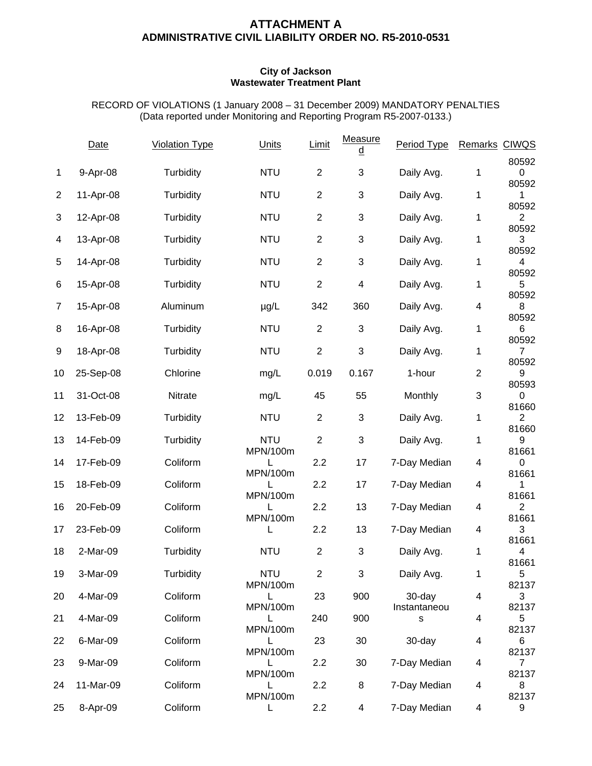### **ATTACHMENT A ADMINISTRATIVE CIVIL LIABILITY ORDER NO. R5-2010-0531**

#### **City of Jackson Wastewater Treatment Plant**

RECORD OF VIOLATIONS (1 January 2008 – 31 December 2009) MANDATORY PENALTIES (Data reported under Monitoring and Reporting Program R5-2007-0133.)

|                | <b>Date</b> | <b>Violation Type</b> | Units         | Limit            | Measure<br>d   | Period Type       | Remarks CIWQS           |                         |
|----------------|-------------|-----------------------|---------------|------------------|----------------|-------------------|-------------------------|-------------------------|
| 1              | 9-Apr-08    | Turbidity             | <b>NTU</b>    | $\mathbf{2}$     | 3              | Daily Avg.        | 1                       | 80592<br>0              |
| $\overline{c}$ | 11-Apr-08   | Turbidity             | <b>NTU</b>    | $\overline{c}$   | $\mathfrak{S}$ | Daily Avg.        | 1                       | 80592<br>1              |
| 3              | 12-Apr-08   | Turbidity             | <b>NTU</b>    | $\mathbf{2}$     | 3              | Daily Avg.        | 1                       | 80592<br>$\overline{2}$ |
| 4              | 13-Apr-08   | Turbidity             | <b>NTU</b>    | $\overline{2}$   | 3              | Daily Avg.        | 1                       | 80592<br>3              |
| 5              | 14-Apr-08   | Turbidity             | <b>NTU</b>    | $\overline{2}$   | 3              | Daily Avg.        | 1                       | 80592<br>4              |
| 6              | 15-Apr-08   | Turbidity             | <b>NTU</b>    | $\overline{c}$   | 4              | Daily Avg.        | 1                       | 80592<br>5              |
| $\overline{7}$ | 15-Apr-08   | Aluminum              | $\mu$ g/L     | 342              | 360            | Daily Avg.        | 4                       | 80592<br>8              |
| 8              | 16-Apr-08   | Turbidity             | <b>NTU</b>    | $\overline{2}$   | 3              | Daily Avg.        | 1                       | 80592<br>6              |
| 9              | 18-Apr-08   | Turbidity             | <b>NTU</b>    | $\overline{2}$   | 3              | Daily Avg.        | 1                       | 80592<br>$\overline{7}$ |
| 10             | 25-Sep-08   | Chlorine              | mg/L          | 0.019            | 0.167          | 1-hour            | $\overline{2}$          | 80592<br>9              |
| 11             | 31-Oct-08   | Nitrate               | mg/L          | 45               | 55             | Monthly           | 3                       | 80593<br>0              |
| 12             | 13-Feb-09   | Turbidity             | <b>NTU</b>    | $\overline{2}$   | 3              | Daily Avg.        | 1                       | 81660<br>$\overline{2}$ |
| 13             | 14-Feb-09   | Turbidity             | <b>NTU</b>    | $\boldsymbol{2}$ | 3              | Daily Avg.        | 1                       | 81660<br>9              |
| 14             | 17-Feb-09   | Coliform              | MPN/100m<br>L | 2.2              | 17             | 7-Day Median      | 4                       | 81661<br>0              |
| 15             | 18-Feb-09   | Coliform              | MPN/100m      | 2.2              | 17             | 7-Day Median      | 4                       | 81661<br>1              |
| 16             | 20-Feb-09   | Coliform              | MPN/100m<br>L | 2.2              | 13             | 7-Day Median      | 4                       | 81661<br>$\overline{2}$ |
| 17             | 23-Feb-09   | Coliform              | MPN/100m<br>L | 2.2              | 13             | 7-Day Median      | 4                       | 81661<br>3              |
| 18             | 2-Mar-09    | Turbidity             | <b>NTU</b>    | $\mathbf{2}$     | 3              | Daily Avg.        | 1                       | 81661<br>4              |
| 19             | 3-Mar-09    | Turbidity             | <b>NTU</b>    | $\overline{2}$   | 3              | Daily Avg.        | 1                       | 81661<br>5              |
| 20             | 4-Mar-09    | Coliform              | MPN/100m<br>L | 23               | 900            | 30-day            | 4                       | 82137<br>3              |
| 21             | 4-Mar-09    | Coliform              | MPN/100m      | 240              | 900            | Instantaneou<br>s | 4                       | 82137<br>5              |
| 22             | 6-Mar-09    | Coliform              | MPN/100m<br>L | 23               | 30             | 30-day            | 4                       | 82137<br>6              |
| 23             | 9-Mar-09    | Coliform              | MPN/100m<br>L | 2.2              | 30             | 7-Day Median      | 4                       | 82137<br>$\overline{7}$ |
| 24             | 11-Mar-09   | Coliform              | MPN/100m<br>L | 2.2              | 8              | 7-Day Median      | 4                       | 82137<br>8              |
| 25             | 8-Apr-09    | Coliform              | MPN/100m<br>L | 2.2              | 4              | 7-Day Median      | $\overline{\mathbf{4}}$ | 82137<br>9              |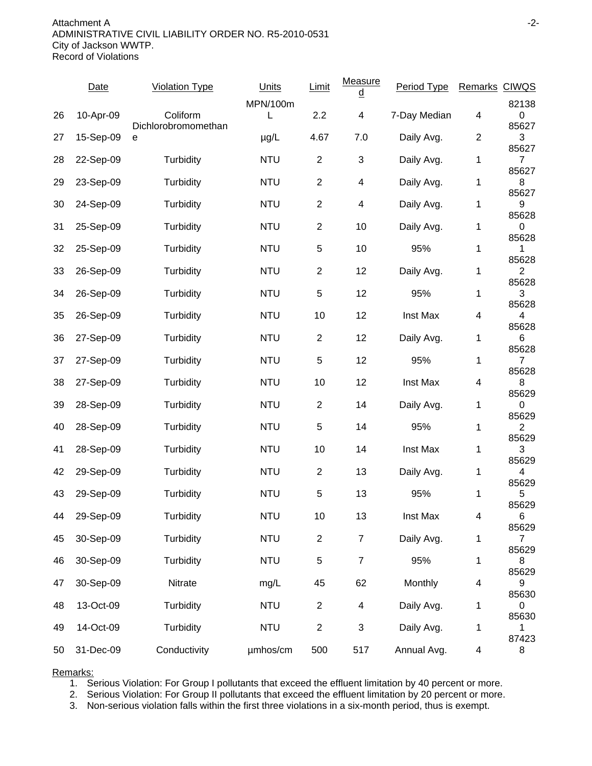Attachment A -2- ADMINISTRATIVE CIVIL LIABILITY ORDER NO. R5-2010-0531 City of Jackson WWTP. Record of Violations

|    | <b>Date</b> | <b>Violation Type</b>           | Units      | Limit                   | <b>Measure</b><br>d | Period Type  | Remarks CIWQS  |                         |
|----|-------------|---------------------------------|------------|-------------------------|---------------------|--------------|----------------|-------------------------|
|    |             |                                 | MPN/100m   |                         |                     |              |                | 82138                   |
| 26 | 10-Apr-09   | Coliform<br>Dichlorobromomethan |            | 2.2                     | 4                   | 7-Day Median | 4              | 0<br>85627              |
| 27 | 15-Sep-09   | е                               | $\mu$ g/L  | 4.67                    | 7.0                 | Daily Avg.   | $\overline{c}$ | 3                       |
| 28 | 22-Sep-09   | Turbidity                       | <b>NTU</b> | $\overline{c}$          | 3                   | Daily Avg.   | 1              | 85627<br>7              |
|    |             |                                 |            |                         |                     |              |                | 85627                   |
| 29 | 23-Sep-09   | Turbidity                       | <b>NTU</b> | $\overline{2}$          | $\overline{4}$      | Daily Avg.   | 1              | 8<br>85627              |
| 30 | 24-Sep-09   | Turbidity                       | <b>NTU</b> | $\overline{2}$          | 4                   | Daily Avg.   | 1              | 9                       |
| 31 | 25-Sep-09   | Turbidity                       | <b>NTU</b> | $\overline{c}$          | 10                  | Daily Avg.   | 1              | 85628<br>0              |
|    |             |                                 |            |                         |                     |              |                | 85628                   |
| 32 | 25-Sep-09   | Turbidity                       | <b>NTU</b> | 5                       | 10                  | 95%          | 1              | 1<br>85628              |
| 33 | 26-Sep-09   | Turbidity                       | <b>NTU</b> | $\overline{c}$          | 12                  | Daily Avg.   | 1              | $\overline{c}$          |
| 34 | 26-Sep-09   | Turbidity                       | <b>NTU</b> | 5                       | 12                  | 95%          | 1              | 85628<br>3              |
|    |             |                                 |            |                         |                     |              |                | 85628                   |
| 35 | 26-Sep-09   | Turbidity                       | <b>NTU</b> | 10                      | 12                  | Inst Max     | 4              | 4                       |
| 36 | 27-Sep-09   | Turbidity                       | <b>NTU</b> | $\overline{2}$          | 12                  | Daily Avg.   | 1              | 85628<br>6              |
|    |             |                                 |            |                         |                     |              |                | 85628                   |
| 37 | 27-Sep-09   | Turbidity                       | <b>NTU</b> | 5                       | 12                  | 95%          | 1              | $\overline{7}$<br>85628 |
| 38 | 27-Sep-09   | Turbidity                       | <b>NTU</b> | 10                      | 12                  | Inst Max     | 4              | 8                       |
| 39 | 28-Sep-09   | Turbidity                       | <b>NTU</b> | $\overline{c}$          | 14                  | Daily Avg.   | 1              | 85629<br>0              |
|    |             |                                 |            |                         |                     |              |                | 85629                   |
| 40 | 28-Sep-09   | Turbidity                       | <b>NTU</b> | 5                       | 14                  | 95%          | 1              | $\overline{2}$<br>85629 |
| 41 | 28-Sep-09   | Turbidity                       | <b>NTU</b> | 10                      | 14                  | Inst Max     | 1              | 3                       |
| 42 | 29-Sep-09   | Turbidity                       | <b>NTU</b> | $\overline{c}$          | 13                  | Daily Avg.   | 1              | 85629<br>4              |
|    |             |                                 |            |                         |                     |              |                | 85629                   |
| 43 | 29-Sep-09   | Turbidity                       | <b>NTU</b> | 5                       | 13                  | 95%          | 1              | 5<br>85629              |
| 44 | 29-Sep-09   | Turbidity                       | <b>NTU</b> | 10                      | 13                  | Inst Max     | 4              | 6                       |
|    |             |                                 |            |                         |                     |              |                | 85629                   |
| 45 | 30-Sep-09   | Turbidity                       | <b>NTU</b> | $\overline{c}$          | $\boldsymbol{7}$    | Daily Avg.   | 1              | 7<br>85629              |
| 46 | 30-Sep-09   | Turbidity                       | <b>NTU</b> | 5                       | $\overline{7}$      | 95%          | 1              | 8                       |
| 47 | 30-Sep-09   | Nitrate                         | mg/L       | 45                      | 62                  | Monthly      | 4              | 85629<br>9              |
|    |             |                                 |            |                         |                     |              |                | 85630                   |
| 48 | 13-Oct-09   | Turbidity                       | <b>NTU</b> | $\overline{\mathbf{c}}$ | 4                   | Daily Avg.   | 1              | 0<br>85630              |
| 49 | 14-Oct-09   | Turbidity                       | <b>NTU</b> | $\mathbf{2}$            | 3                   | Daily Avg.   | 1              | 1                       |
| 50 | 31-Dec-09   | Conductivity                    | umhos/cm   | 500                     | 517                 | Annual Avg.  | 4              | 87423<br>8              |
|    |             |                                 |            |                         |                     |              |                |                         |

Remarks:

1. Serious Violation: For Group I pollutants that exceed the effluent limitation by 40 percent or more.

2. Serious Violation: For Group II pollutants that exceed the effluent limitation by 20 percent or more.

3. Non-serious violation falls within the first three violations in a six-month period, thus is exempt.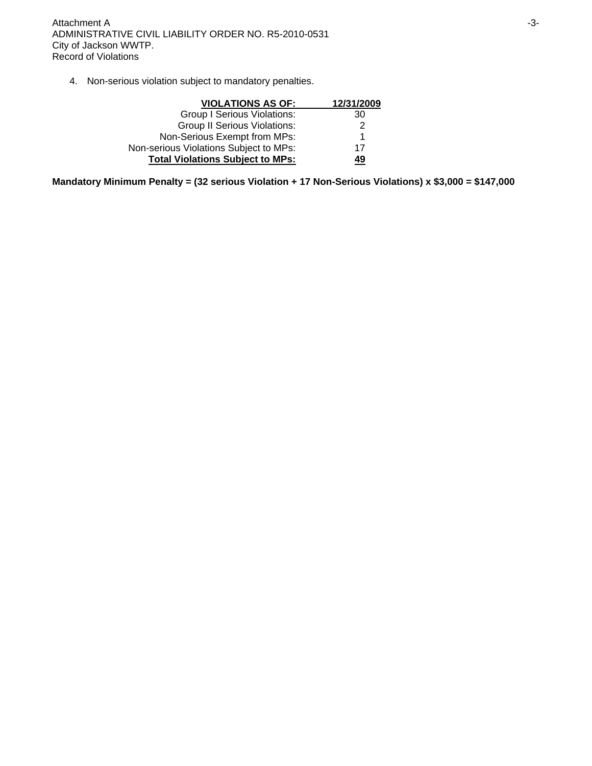4. Non-serious violation subject to mandatory penalties.

| <b>VIOLATIONS AS OF:</b>                | 12/31/2009 |
|-----------------------------------------|------------|
| <b>Group I Serious Violations:</b>      | 30         |
| <b>Group II Serious Violations:</b>     | 2          |
| Non-Serious Exempt from MPs:            | 1          |
| Non-serious Violations Subject to MPs:  | 17         |
| <b>Total Violations Subject to MPs:</b> | 49         |

**Mandatory Minimum Penalty = (32 serious Violation + 17 Non-Serious Violations) x \$3,000 = \$147,000**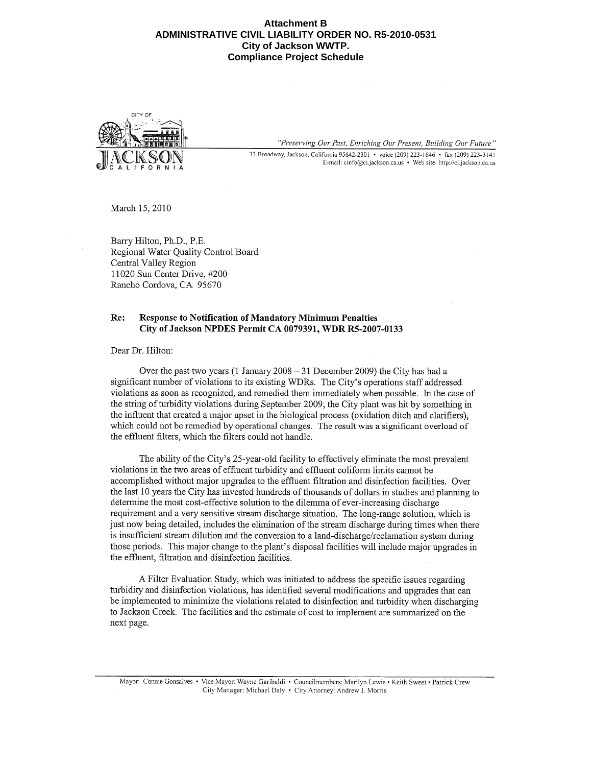#### **Attachment B ADMINISTRATIVE CIVIL LIABILITY ORDER NO. R5-2010-0531 City of Jackson WWTP. Compliance Project Schedule**



"Preserving Our Past, Enriching Our Present, Building Our Future" 33 Broadway, Jackson, California 95642-2301 • voice (209) 223-1646 • fax (209) 223-3141 E-mail: cinfo@ci.jackson.ca.us • Web site: http://ci.jackson.ca.us

March 15, 2010

Barry Hilton, Ph.D., P.E. Regional Water Quality Control Board Central Valley Region 11020 Sun Center Drive, #200 Rancho Cordova, CA 95670

#### Re: **Response to Notification of Mandatory Minimum Penalties** City of Jackson NPDES Permit CA 0079391, WDR R5-2007-0133

Dear Dr. Hilton:

Over the past two years (1 January  $2008 - 31$  December 2009) the City has had a significant number of violations to its existing WDRs. The City's operations staff addressed violations as soon as recognized, and remedied them immediately when possible. In the case of the string of turbidity violations during September 2009, the City plant was hit by something in the influent that created a major upset in the biological process (oxidation ditch and clarifiers), which could not be remedied by operational changes. The result was a significant overload of the effluent filters, which the filters could not handle.

The ability of the City's 25-year-old facility to effectively eliminate the most prevalent violations in the two areas of effluent turbidity and effluent coliform limits cannot be accomplished without major upgrades to the effluent filtration and disinfection facilities. Over the last 10 years the City has invested hundreds of thousands of dollars in studies and planning to determine the most cost-effective solution to the dilemma of ever-increasing discharge requirement and a very sensitive stream discharge situation. The long-range solution, which is just now being detailed, includes the elimination of the stream discharge during times when there is insufficient stream dilution and the conversion to a land-discharge/reclamation system during those periods. This major change to the plant's disposal facilities will include major upgrades in the effluent, filtration and disinfection facilities.

A Filter Evaluation Study, which was initiated to address the specific issues regarding turbidity and disinfection violations, has identified several modifications and upgrades that can be implemented to minimize the violations related to disinfection and turbidity when discharging to Jackson Creek. The facilities and the estimate of cost to implement are summarized on the next page.

Mayor: Connie Gonsalves • Vice Mayor: Wayne Garibaldi • Councilmembers: Marilyn Lewis • Keith Sweet • Patrick Crew City Manager: Michael Daly • City Attorney: Andrew J. Morris